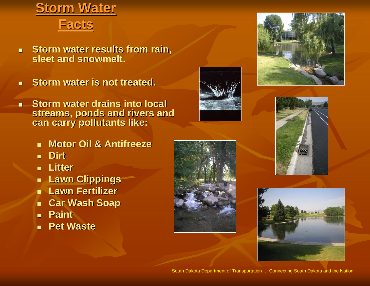## **Storm Water**



- $\blacksquare$ **Storm water results from rain, sleet and snowmelt. sleet and snowmelt.**
- $\blacksquare$ **Storm water is not treated.**
- **Storm water drains into local streams, ponds and rivers and can carry pollutants like:** 
	- **Motor Oil & Antifreeze**
	- **Dirt**
	- **Litter**
	- **Lawn Clippings Lawn Clippings**
	- **Lawn Fertilizer Lawn Fertilizer**
	- $\blacksquare$ **Car Wash Soap Car Wash Soap**
	- **Paint**
	- **Pet Waste Pet Waste**











South Dakota Department of Transportation … Connecting South Dakota and the Nation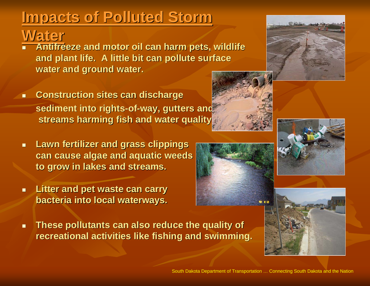## **Impacts of Polluted Storm Impacts of Polluted Storm**

## **Water**

- $\overline{\phantom{0}}$ **Antifreeze and motor oil can harm pets, wildlife** and plant life. A little bit can pollute surface **water and ground water.**
- **EXECONSTRUCTION Sites can discharge sediment into rights sediment into rights -of -way, gutters and way, gutters and streams harming fish and water quality. streams harming fish and water quality.**
- $\blacksquare$  **Lawn fertilizer and grass clippings Lawn fertilizer and grass clippings can cause algae and aquatic weeds can cause algae and aquatic weeds to grow in lakes and streams. to grow in lakes and streams.**
- $\blacksquare$  **Litter and pet waste can carry Litter and pet waste can carry bacteria into local waterways. bacteria into local waterways.**
- $\blacksquare$ **These pollutants can also reduce the quality of recreational activities like recreational activities like fishing and swimming. fishing and swimming.**